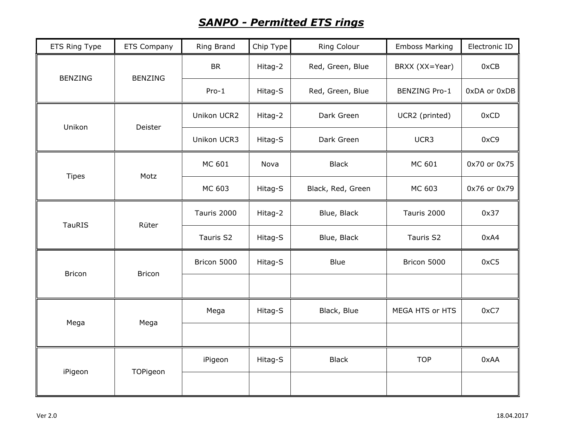## *SANPO - Permitted ETS rings*

| ETS Ring Type  | <b>ETS Company</b> | Ring Brand  | Chip Type | Ring Colour       | <b>Emboss Marking</b> | Electronic ID |
|----------------|--------------------|-------------|-----------|-------------------|-----------------------|---------------|
| <b>BENZING</b> | <b>BENZING</b>     | <b>BR</b>   | Hitag-2   | Red, Green, Blue  | BRXX (XX=Year)        | 0xCB          |
|                |                    | $Pro-1$     | Hitag-S   | Red, Green, Blue  | <b>BENZING Pro-1</b>  | 0xDA or 0xDB  |
| Unikon         | Deister            | Unikon UCR2 | Hitag-2   | Dark Green        | UCR2 (printed)        | 0xCD          |
|                |                    | Unikon UCR3 | Hitag-S   | Dark Green        | UCR3                  | 0xC9          |
| <b>Tipes</b>   | Motz               | MC 601      | Nova      | <b>Black</b>      | MC 601                | 0x70 or 0x75  |
|                |                    | MC 603      | Hitag-S   | Black, Red, Green | MC 603                | 0x76 or 0x79  |
| <b>TauRIS</b>  | Rüter              | Tauris 2000 | Hitag-2   | Blue, Black       | Tauris 2000           | 0x37          |
|                |                    | Tauris S2   | Hitag-S   | Blue, Black       | Tauris S2             | 0xA4          |
| <b>Bricon</b>  | <b>Bricon</b>      | Bricon 5000 | Hitag-S   | Blue              | Bricon 5000           | 0xC5          |
|                |                    |             |           |                   |                       |               |
| Mega           | Mega               | Mega        | Hitag-S   | Black, Blue       | MEGA HTS or HTS       | 0xC7          |
|                |                    |             |           |                   |                       |               |
| iPigeon        | TOPigeon           | iPigeon     | Hitag-S   | <b>Black</b>      | <b>TOP</b>            | 0xAA          |
|                |                    |             |           |                   |                       |               |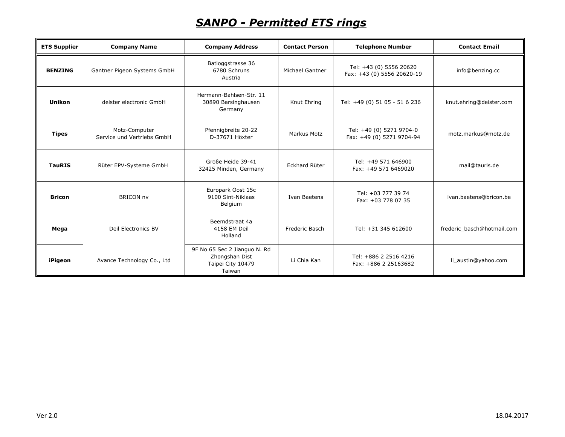## *SANPO - Permitted ETS rings*

| <b>ETS Supplier</b> | <b>Company Name</b>                         | <b>Company Address</b>                                                        | <b>Contact Person</b> | <b>Telephone Number</b>                               | <b>Contact Email</b>       |
|---------------------|---------------------------------------------|-------------------------------------------------------------------------------|-----------------------|-------------------------------------------------------|----------------------------|
| <b>BENZING</b>      | Gantner Pigeon Systems GmbH                 | Batloggstrasse 36<br>6780 Schruns<br>Austria                                  | Michael Gantner       | Tel: +43 (0) 5556 20620<br>Fax: +43 (0) 5556 20620-19 | info@benzing.cc            |
| <b>Unikon</b>       | deister electronic GmbH                     | Hermann-Bahlsen-Str. 11<br>30890 Barsinghausen<br>Germany                     | Knut Ehring           | Tel: +49 (0) 51 05 - 51 6 236                         | knut.ehring@deister.com    |
| <b>Tipes</b>        | Motz-Computer<br>Service und Vertriebs GmbH | Pfennigbreite 20-22<br>D-37671 Höxter                                         | Markus Motz           | Tel: +49 (0) 5271 9704-0<br>Fax: +49 (0) 5271 9704-94 | motz.markus@motz.de        |
| <b>TauRIS</b>       | Rüter EPV-Systeme GmbH                      | Große Heide 39-41<br>32425 Minden, Germany                                    | Eckhard Rüter         | Tel: +49 571 646900<br>Fax: +49 571 6469020           | mail@tauris.de             |
| <b>Bricon</b>       | <b>BRICON nv</b>                            | Europark Oost 15c<br>9100 Sint-Niklaas<br>Belgium                             | Ivan Baetens          | Tel: +03 777 39 74<br>Fax: +03 778 07 35              | ivan.baetens@bricon.be     |
| Mega                | Deil Electronics BV                         | Beemdstraat 4a<br>4158 EM Deil<br>Holland                                     | Frederic Basch        | Tel: +31 345 612600                                   | frederic basch@hotmail.com |
| iPigeon             | Avance Technology Co., Ltd                  | 9F No 65 Sec 2 Jianguo N. Rd<br>Zhongshan Dist<br>Taipei City 10479<br>Taiwan | Li Chia Kan           | Tel: +886 2 2516 4216<br>Fax: +886 2 25163682         | li_austin@yahoo.com        |